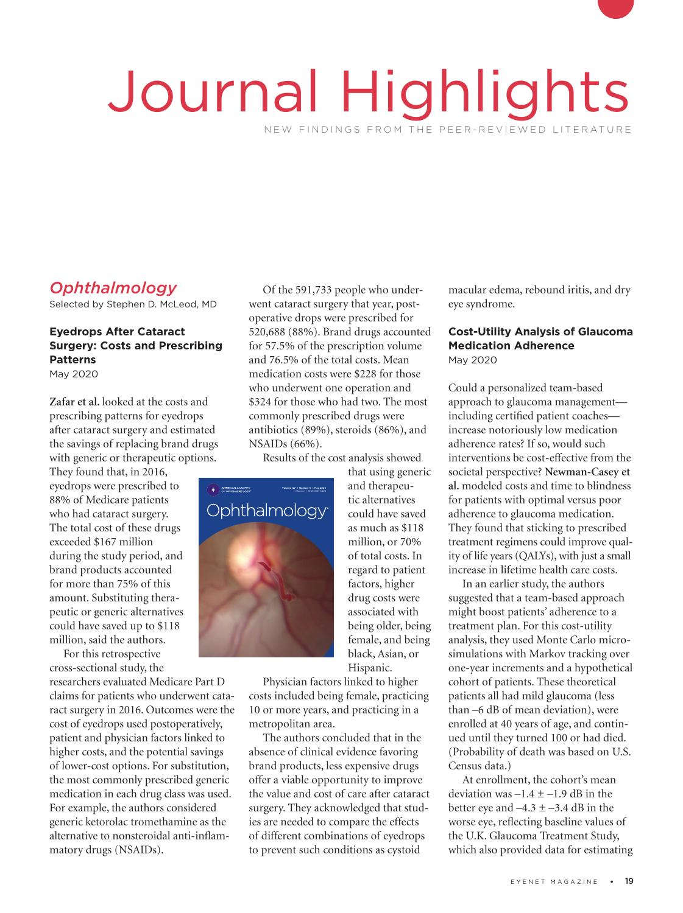# Journal Highlights NEW FINDINGS FROM THE PEER-REVIEWED LITERATURE

# *Ophthalmology*

Selected by Stephen D. McLeod, MD

# **Eyedrops After Cataract Surgery: Costs and Prescribing Patterns**

May 2020

**Zafar et al.** looked at the costs and prescribing patterns for eyedrops after cataract surgery and estimated the savings of replacing brand drugs with generic or therapeutic options.

They found that, in 2016, eyedrops were prescribed to 88% of Medicare patients who had cataract surgery. The total cost of these drugs exceeded \$167 million during the study period, and<br>brand products accounted<br>for more than 75% of this brand products accounted for more than 75% of this amount. Substituting therapeutic or generic alternatives could have saved up to \$118 million, said the authors.

For this retrospective cross-sectional study, the

researchers evaluated Medicare Part D claims for patients who underwent cataract surgery in 2016. Outcomes were the cost of eyedrops used postoperatively, patient and physician factors linked to higher costs, and the potential savings of lower-cost options. For substitution, the most commonly prescribed generic medication in each drug class was used. For example, the authors considered generic ketorolac tromethamine as the alternative to nonsteroidal anti-inflammatory drugs (NSAIDs).

Of the 591,733 people who underwent cataract surgery that year, postoperative drops were prescribed for 520,688 (88%). Brand drugs accounted for 57.5% of the prescription volume and 76.5% of the total costs. Mean medication costs were \$228 for those who underwent one operation and \$324 for those who had two. The most commonly prescribed drugs were antibiotics (89%), steroids (86%), and NSAIDs (66%).

Results of the cost analysis showed



that using generic and therapeutic alternatives could have saved as much as \$118 million, or 70% of total costs. In regard to patient factors, higher drug costs were associated with being older, being female, and being black, Asian, or Hispanic.

Physician factors linked to higher costs included being female, practicing 10 or more years, and practicing in a metropolitan area.

The authors concluded that in the absence of clinical evidence favoring brand products, less expensive drugs offer a viable opportunity to improve the value and cost of care after cataract surgery. They acknowledged that studies are needed to compare the effects of different combinations of eyedrops to prevent such conditions as cystoid

macular edema, rebound iritis, and dry eye syndrome.

# **Cost-Utility Analysis of Glaucoma Medication Adherence**

May 2020

Could a personalized team-based approach to glaucoma management including certified patient coaches increase notoriously low medication adherence rates? If so, would such interventions be cost-effective from the societal perspective? **Newman-Casey et al.** modeled costs and time to blindness for patients with optimal versus poor adherence to glaucoma medication. They found that sticking to prescribed treatment regimens could improve quality of life years (QALYs), with just a small increase in lifetime health care costs.

In an earlier study, the authors suggested that a team-based approach might boost patients' adherence to a treatment plan. For this cost-utility analysis, they used Monte Carlo microsimulations with Markov tracking over one-year increments and a hypothetical cohort of patients. These theoretical patients all had mild glaucoma (less than ‒6 dB of mean deviation), were enrolled at 40 years of age, and continued until they turned 100 or had died. (Probability of death was based on U.S. Census data.)

At enrollment, the cohort's mean deviation was  $-1.4 \pm -1.9$  dB in the better eye and  $-4.3 \pm -3.4$  dB in the worse eye, reflecting baseline values of the U.K. Glaucoma Treatment Study, which also provided data for estimating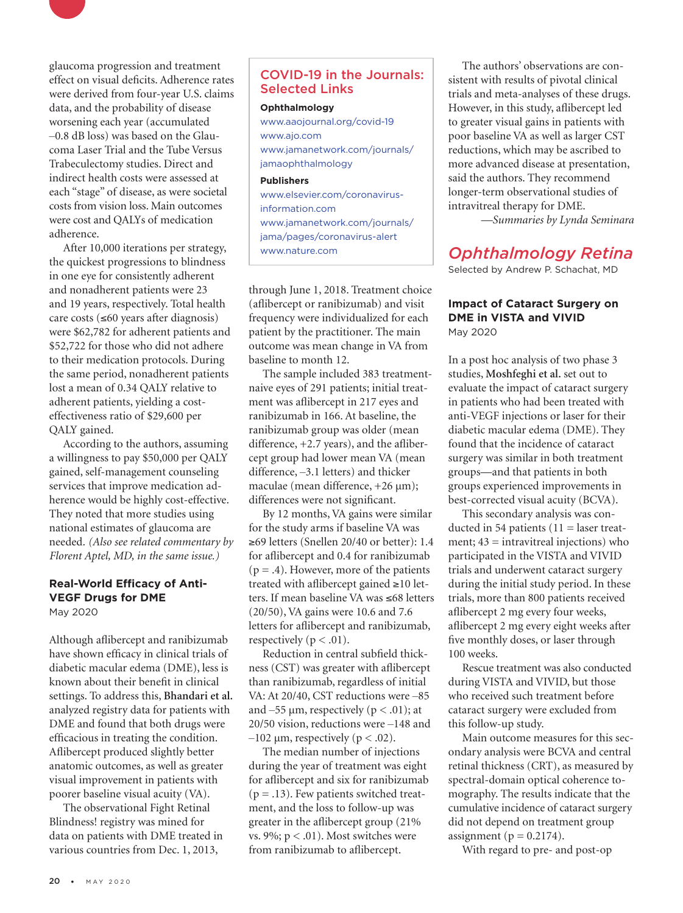

After 10,000 iterations per strategy, the quickest progressions to blindness in one eye for consistently adherent and nonadherent patients were 23 and 19 years, respectively. Total health care costs (≤60 years after diagnosis) were \$62,782 for adherent patients and \$52,722 for those who did not adhere to their medication protocols. During the same period, nonadherent patients lost a mean of 0.34 QALY relative to adherent patients, yielding a costeffectiveness ratio of \$29,600 per QALY gained.

According to the authors, assuming a willingness to pay \$50,000 per QALY gained, self-management counseling services that improve medication adherence would be highly cost-effective. They noted that more studies using national estimates of glaucoma are needed. *(Also see related commentary by Florent Aptel, MD, in the same issue.)*

#### **Real-World Efficacy of Anti-VEGF Drugs for DME** May 2020

Although aflibercept and ranibizumab have shown efficacy in clinical trials of diabetic macular edema (DME), less is known about their benefit in clinical settings. To address this, **Bhandari et al.**  analyzed registry data for patients with DME and found that both drugs were efficacious in treating the condition. Aflibercept produced slightly better anatomic outcomes, as well as greater visual improvement in patients with poorer baseline visual acuity (VA).

The observational Fight Retinal Blindness! registry was mined for data on patients with DME treated in various countries from Dec. 1, 2013,

# COVID-19 in the Journals: Selected Links

#### **Ophthalmology**

[www.aaojournal.org/covid-19](http://www.aaojournal.org/covid-19) [www.ajo.com](http://www.ajo.com) [www.jamanetwork.com/journals/](http://www.jamanetwork.com/journals/jamaophthalmology) [jamaophthalmology](http://www.jamanetwork.com/journals/jamaophthalmology)

#### **Publishers**

[www.elsevier.com/coronavirus](http://www.elsevier.com/coronavirus-information.com)[information.com](http://www.elsevier.com/coronavirus-information.com) [www.jamanetwork.com/journals/](http://www.jamanetwork.com/journals/jama/pages/coronavirus-alert) [jama/pages/coronavirus-alert](http://www.jamanetwork.com/journals/jama/pages/coronavirus-alert) [www.nature.com](http://www.nature.com)

through June 1, 2018. Treatment choice (aflibercept or ranibizumab) and visit frequency were individualized for each patient by the practitioner. The main outcome was mean change in VA from baseline to month 12.

The sample included 383 treatmentnaive eyes of 291 patients; initial treatment was aflibercept in 217 eyes and ranibizumab in 166. At baseline, the ranibizumab group was older (mean difference, +2.7 years), and the aflibercept group had lower mean VA (mean difference,  $-3.1$  letters) and thicker maculae (mean difference, +26 µm); differences were not significant.

By 12 months, VA gains were similar for the study arms if baseline VA was ≥69 letters (Snellen 20/40 or better): 1.4 for aflibercept and 0.4 for ranibizumab  $(p = .4)$ . However, more of the patients treated with aflibercept gained ≥10 letters. If mean baseline VA was ≤68 letters (20/50), VA gains were 10.6 and 7.6 letters for aflibercept and ranibizumab, respectively ( $p < .01$ ).

Reduction in central subfield thickness (CST) was greater with aflibercept than ranibizumab, regardless of initial VA: At 20/40, CST reductions were -85 and  $-55 \mu m$ , respectively ( $p < .01$ ); at 20/50 vision, reductions were -148 and  $-102 \mu m$ , respectively (p < .02).

The median number of injections during the year of treatment was eight for aflibercept and six for ranibizumab  $(p = .13)$ . Few patients switched treatment, and the loss to follow-up was greater in the aflibercept group (21% vs. 9%;  $p < .01$ ). Most switches were from ranibizumab to aflibercept.

The authors' observations are consistent with results of pivotal clinical trials and meta-analyses of these drugs. However, in this study, aflibercept led to greater visual gains in patients with poor baseline VA as well as larger CST reductions, which may be ascribed to more advanced disease at presentation, said the authors. They recommend longer-term observational studies of intravitreal therapy for DME.

*—Summaries by Lynda Seminara*

# *Ophthalmology Retina*

Selected by Andrew P. Schachat, MD

#### **Impact of Cataract Surgery on DME in VISTA and VIVID** May 2020

In a post hoc analysis of two phase 3 studies, **Moshfeghi et al.** set out to evaluate the impact of cataract surgery in patients who had been treated with anti-VEGF injections or laser for their diabetic macular edema (DME). They found that the incidence of cataract surgery was similar in both treatment groups—and that patients in both groups experienced improvements in best-corrected visual acuity (BCVA).

This secondary analysis was conducted in 54 patients  $(11)$  = laser treatment;  $43 =$  intravitreal injections) who participated in the VISTA and VIVID trials and underwent cataract surgery during the initial study period. In these trials, more than 800 patients received aflibercept 2 mg every four weeks, aflibercept 2 mg every eight weeks after five monthly doses, or laser through 100 weeks.

Rescue treatment was also conducted during VISTA and VIVID, but those who received such treatment before cataract surgery were excluded from this follow-up study.

Main outcome measures for this secondary analysis were BCVA and central retinal thickness (CRT), as measured by spectral-domain optical coherence tomography. The results indicate that the cumulative incidence of cataract surgery did not depend on treatment group assignment ( $p = 0.2174$ ).

With regard to pre- and post-op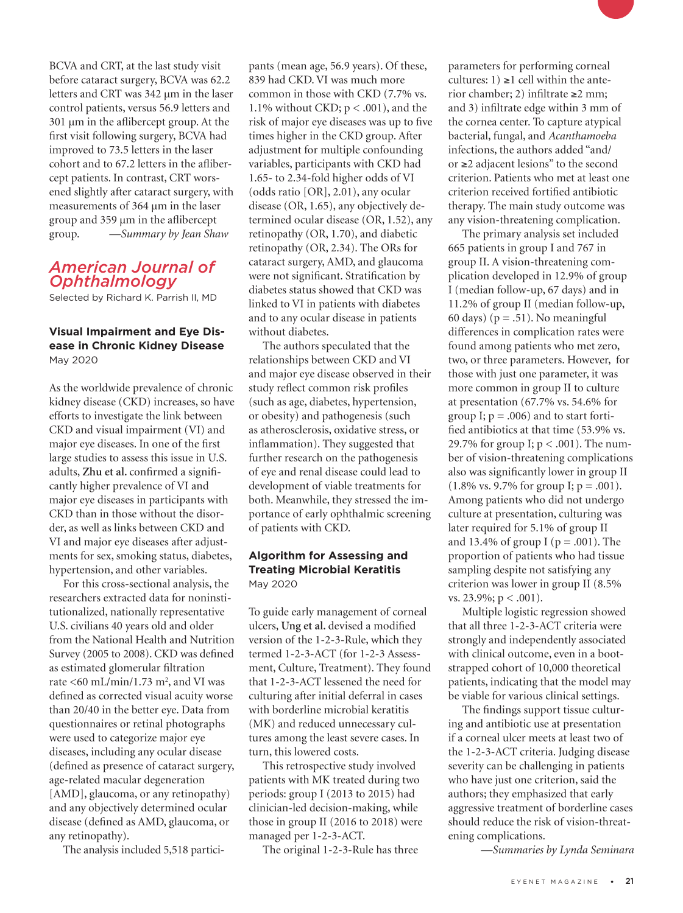BCVA and CRT, at the last study visit before cataract surgery, BCVA was 62.2 letters and CRT was 342 µm in the laser control patients, versus 56.9 letters and 301 µm in the aflibercept group. At the first visit following surgery, BCVA had improved to 73.5 letters in the laser cohort and to 67.2 letters in the aflibercept patients. In contrast, CRT worsened slightly after cataract surgery, with measurements of 364 µm in the laser group and 359 µm in the aflibercept group. *—Summary by Jean Shaw*

# *American Journal of Ophthalmology*

Selected by Richard K. Parrish II, MD

## **Visual Impairment and Eye Disease in Chronic Kidney Disease** May 2020

As the worldwide prevalence of chronic kidney disease (CKD) increases, so have efforts to investigate the link between CKD and visual impairment (VI) and major eye diseases. In one of the first large studies to assess this issue in U.S. adults, **Zhu et al.** confirmed a significantly higher prevalence of VI and major eye diseases in participants with CKD than in those without the disorder, as well as links between CKD and VI and major eye diseases after adjustments for sex, smoking status, diabetes, hypertension, and other variables.

For this cross-sectional analysis, the researchers extracted data for noninstitutionalized, nationally representative U.S. civilians 40 years old and older from the National Health and Nutrition Survey (2005 to 2008). CKD was defined as estimated glomerular filtration rate  $\leq 60 \text{ mL/min}/1.73 \text{ m}^2$ , and VI was defined as corrected visual acuity worse than 20/40 in the better eye. Data from questionnaires or retinal photographs were used to categorize major eye diseases, including any ocular disease (defined as presence of cataract surgery, age-related macular degeneration [AMD], glaucoma, or any retinopathy) and any objectively determined ocular disease (defined as AMD, glaucoma, or any retinopathy).

The analysis included 5,518 partici-

pants (mean age, 56.9 years). Of these, 839 had CKD. VI was much more common in those with CKD (7.7% vs. 1.1% without CKD;  $p < .001$ ), and the risk of major eye diseases was up to five times higher in the CKD group. After adjustment for multiple confounding variables, participants with CKD had 1.65- to 2.34-fold higher odds of VI (odds ratio [OR], 2.01), any ocular disease (OR, 1.65), any objectively determined ocular disease (OR, 1.52), any retinopathy (OR, 1.70), and diabetic retinopathy (OR, 2.34). The ORs for cataract surgery, AMD, and glaucoma were not significant. Stratification by diabetes status showed that CKD was linked to VI in patients with diabetes and to any ocular disease in patients without diabetes.

The authors speculated that the relationships between CKD and VI and major eye disease observed in their study reflect common risk profiles (such as age, diabetes, hypertension, or obesity) and pathogenesis (such as atherosclerosis, oxidative stress, or inflammation). They suggested that further research on the pathogenesis of eye and renal disease could lead to development of viable treatments for both. Meanwhile, they stressed the importance of early ophthalmic screening of patients with CKD.

### **Algorithm for Assessing and Treating Microbial Keratitis** May 2020

To guide early management of corneal ulcers, **Ung et al.** devised a modified version of the 1-2-3-Rule, which they termed 1-2-3-ACT (for 1-2-3 Assessment, Culture, Treatment). They found that 1-2-3-ACT lessened the need for culturing after initial deferral in cases with borderline microbial keratitis (MK) and reduced unnecessary cultures among the least severe cases. In turn, this lowered costs.

This retrospective study involved patients with MK treated during two periods: group I (2013 to 2015) had clinician-led decision-making, while those in group II (2016 to 2018) were managed per 1-2-3-ACT.

The original 1-2-3-Rule has three

parameters for performing corneal cultures:  $1) \ge 1$  cell within the anterior chamber; 2) infiltrate ≥2 mm; and 3) infiltrate edge within 3 mm of the cornea center. To capture atypical bacterial, fungal, and *Acanthamoeba* infections, the authors added "and/ or ≥2 adjacent lesions" to the second criterion. Patients who met at least one criterion received fortified antibiotic therapy. The main study outcome was any vision-threatening complication.

The primary analysis set included 665 patients in group I and 767 in group II. A vision-threatening complication developed in 12.9% of group I (median follow-up, 67 days) and in 11.2% of group II (median follow-up, 60 days) ( $p = .51$ ). No meaningful differences in complication rates were found among patients who met zero, two, or three parameters. However, for those with just one parameter, it was more common in group II to culture at presentation (67.7% vs. 54.6% for group I;  $p = .006$ ) and to start fortified antibiotics at that time (53.9% vs. 29.7% for group I; p < .001). The number of vision-threatening complications also was significantly lower in group II  $(1.8\% \text{ vs. } 9.7\% \text{ for group I}; \text{ p} = .001).$ Among patients who did not undergo culture at presentation, culturing was later required for 5.1% of group II and 13.4% of group I ( $p = .001$ ). The proportion of patients who had tissue sampling despite not satisfying any criterion was lower in group II (8.5% vs. 23.9%; p < .001).

Multiple logistic regression showed that all three 1-2-3-ACT criteria were strongly and independently associated with clinical outcome, even in a bootstrapped cohort of 10,000 theoretical patients, indicating that the model may be viable for various clinical settings.

The findings support tissue culturing and antibiotic use at presentation if a corneal ulcer meets at least two of the 1-2-3-ACT criteria. Judging disease severity can be challenging in patients who have just one criterion, said the authors; they emphasized that early aggressive treatment of borderline cases should reduce the risk of vision-threatening complications.

*—Summaries by Lynda Seminara*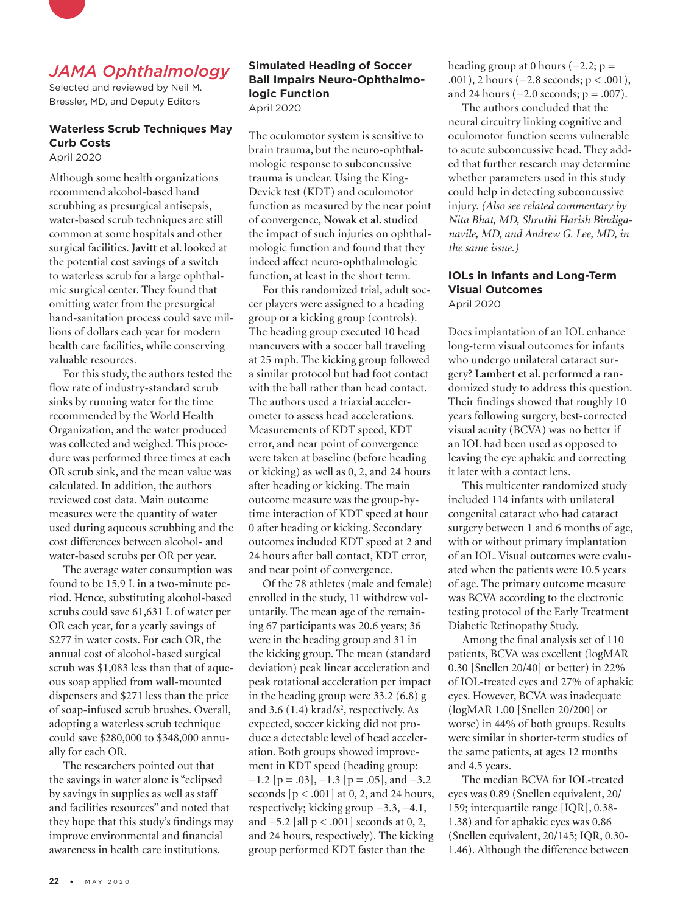

# *JAMA Ophthalmology*

Selected and reviewed by Neil M. Bressler, MD, and Deputy Editors

# **Waterless Scrub Techniques May Curb Costs**

April 2020

Although some health organizations recommend alcohol-based hand scrubbing as presurgical antisepsis, water-based scrub techniques are still common at some hospitals and other surgical facilities. **Javitt et al.** looked at the potential cost savings of a switch to waterless scrub for a large ophthalmic surgical center. They found that omitting water from the presurgical hand-sanitation process could save millions of dollars each year for modern health care facilities, while conserving valuable resources.

For this study, the authors tested the flow rate of industry-standard scrub sinks by running water for the time recommended by the World Health Organization, and the water produced was collected and weighed. This procedure was performed three times at each OR scrub sink, and the mean value was calculated. In addition, the authors reviewed cost data. Main outcome measures were the quantity of water used during aqueous scrubbing and the cost differences between alcohol- and water-based scrubs per OR per year.

The average water consumption was found to be 15.9 L in a two-minute period. Hence, substituting alcohol-based scrubs could save 61,631 L of water per OR each year, for a yearly savings of \$277 in water costs. For each OR, the annual cost of alcohol-based surgical scrub was \$1,083 less than that of aqueous soap applied from wall-mounted dispensers and \$271 less than the price of soap-infused scrub brushes. Overall, adopting a waterless scrub technique could save \$280,000 to \$348,000 annually for each OR.

The researchers pointed out that the savings in water alone is "eclipsed by savings in supplies as well as staff and facilities resources" and noted that they hope that this study's findings may improve environmental and financial awareness in health care institutions.

### **Simulated Heading of Soccer Ball Impairs Neuro-Ophthalmologic Function** April 2020

The oculomotor system is sensitive to brain trauma, but the neuro-ophthalmologic response to subconcussive trauma is unclear. Using the King-Devick test (KDT) and oculomotor function as measured by the near point of convergence, **Nowak et al.** studied the impact of such injuries on ophthalmologic function and found that they indeed affect neuro-ophthalmologic function, at least in the short term.

For this randomized trial, adult soccer players were assigned to a heading group or a kicking group (controls). The heading group executed 10 head maneuvers with a soccer ball traveling at 25 mph. The kicking group followed a similar protocol but had foot contact with the ball rather than head contact. The authors used a triaxial accelerometer to assess head accelerations. Measurements of KDT speed, KDT error, and near point of convergence were taken at baseline (before heading or kicking) as well as 0, 2, and 24 hours after heading or kicking. The main outcome measure was the group-bytime interaction of KDT speed at hour 0 after heading or kicking. Secondary outcomes included KDT speed at 2 and 24 hours after ball contact, KDT error, and near point of convergence.

Of the 78 athletes (male and female) enrolled in the study, 11 withdrew voluntarily. The mean age of the remaining 67 participants was 20.6 years; 36 were in the heading group and 31 in the kicking group. The mean (standard deviation) peak linear acceleration and peak rotational acceleration per impact in the heading group were 33.2 (6.8) g and 3.6  $(1.4)$  krad/s<sup>2</sup>, respectively. As expected, soccer kicking did not produce a detectable level of head acceleration. Both groups showed improvement in KDT speed (heading group:  $-1.2$  [p = .03],  $-1.3$  [p = .05], and  $-3.2$ seconds  $[p < .001]$  at 0, 2, and 24 hours, respectively; kicking group −3.3, −4.1, and −5.2 [all p < .001] seconds at 0, 2, and 24 hours, respectively). The kicking group performed KDT faster than the

heading group at 0 hours ( $-2.2$ ; p = .001), 2 hours (−2.8 seconds; p < .001), and 24 hours  $(-2.0 \text{ seconds}; p = .007)$ .

The authors concluded that the neural circuitry linking cognitive and oculomotor function seems vulnerable to acute subconcussive head. They added that further research may determine whether parameters used in this study could help in detecting subconcussive injury. *(Also see related commentary by Nita Bhat, MD, Shruthi Harish Bindiganavile, MD, and Andrew G. Lee, MD, in the same issue.)*

#### **IOLs in Infants and Long-Term Visual Outcomes** April 2020

Does implantation of an IOL enhance long-term visual outcomes for infants who undergo unilateral cataract surgery? **Lambert et al.** performed a randomized study to address this question. Their findings showed that roughly 10 years following surgery, best-corrected visual acuity (BCVA) was no better if an IOL had been used as opposed to leaving the eye aphakic and correcting it later with a contact lens.

This multicenter randomized study included 114 infants with unilateral congenital cataract who had cataract surgery between 1 and 6 months of age, with or without primary implantation of an IOL. Visual outcomes were evaluated when the patients were 10.5 years of age. The primary outcome measure was BCVA according to the electronic testing protocol of the Early Treatment Diabetic Retinopathy Study.

Among the final analysis set of 110 patients, BCVA was excellent (logMAR 0.30 [Snellen 20/40] or better) in 22% of IOL-treated eyes and 27% of aphakic eyes. However, BCVA was inadequate (logMAR 1.00 [Snellen 20/200] or worse) in 44% of both groups. Results were similar in shorter-term studies of the same patients, at ages 12 months and 4.5 years.

The median BCVA for IOL-treated eyes was 0.89 (Snellen equivalent, 20/ 159; interquartile range [IQR], 0.38- 1.38) and for aphakic eyes was 0.86 (Snellen equivalent, 20/145; IQR, 0.30- 1.46). Although the difference between